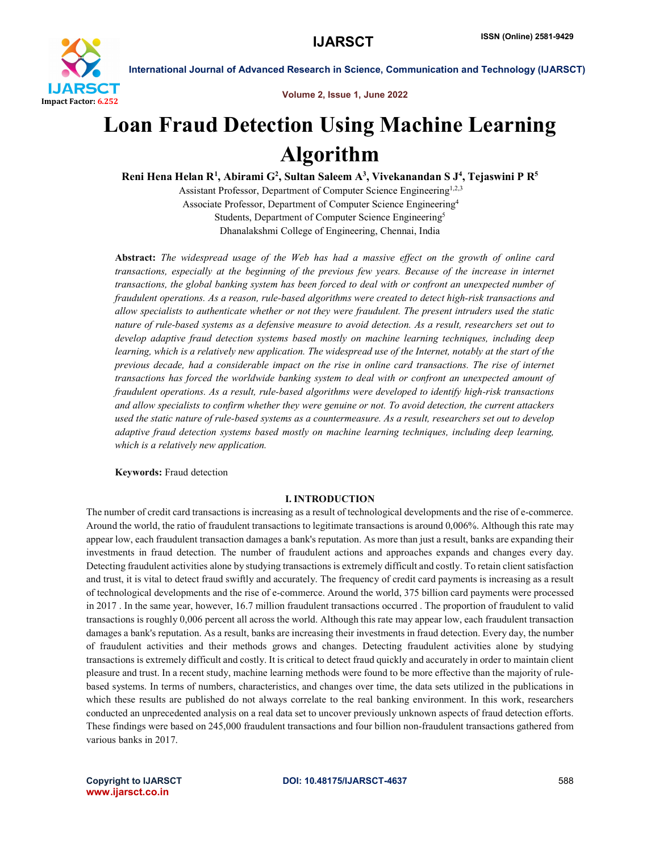

Volume 2, Issue 1, June 2022

## Loan Fraud Detection Using Machine Learning Algorithm

Reni Hena Helan R<sup>1</sup>, Abirami G<sup>2</sup>, Sultan Saleem A<sup>3</sup>, Vivekanandan S J<sup>4</sup>, Tejaswini P R<sup>5</sup>

Assistant Professor, Department of Computer Science Engineering<sup>1,2,3</sup> Associate Professor, Department of Computer Science Engineering4 Students, Department of Computer Science Engineering5 Dhanalakshmi College of Engineering, Chennai, India

Abstract: *The widespread usage of the Web has had a massive effect on the growth of online card transactions, especially at the beginning of the previous few years. Because of the increase in internet transactions, the global banking system has been forced to deal with or confront an unexpected number of fraudulent operations. As a reason, rule-based algorithms were created to detect high-risk transactions and allow specialists to authenticate whether or not they were fraudulent. The present intruders used the static nature of rule-based systems as a defensive measure to avoid detection. As a result, researchers set out to develop adaptive fraud detection systems based mostly on machine learning techniques, including deep learning, which is a relatively new application. The widespread use of the Internet, notably at the start of the previous decade, had a considerable impact on the rise in online card transactions. The rise of internet transactions has forced the worldwide banking system to deal with or confront an unexpected amount of fraudulent operations. As a result, rule-based algorithms were developed to identify high-risk transactions and allow specialists to confirm whether they were genuine or not. To avoid detection, the current attackers used the static nature of rule-based systems as a countermeasure. As a result, researchers set out to develop adaptive fraud detection systems based mostly on machine learning techniques, including deep learning, which is a relatively new application.*

Keywords: Fraud detection

#### I. INTRODUCTION

The number of credit card transactions is increasing as a result of technological developments and the rise of e-commerce. Around the world, the ratio of fraudulent transactions to legitimate transactions is around 0,006%. Although this rate may appear low, each fraudulent transaction damages a bank's reputation. As more than just a result, banks are expanding their investments in fraud detection. The number of fraudulent actions and approaches expands and changes every day. Detecting fraudulent activities alone by studying transactions is extremely difficult and costly. To retain client satisfaction and trust, it is vital to detect fraud swiftly and accurately. The frequency of credit card payments is increasing as a result of technological developments and the rise of e-commerce. Around the world, 375 billion card payments were processed in 2017 . In the same year, however, 16.7 million fraudulent transactions occurred . The proportion of fraudulent to valid transactions is roughly 0,006 percent all across the world. Although this rate may appear low, each fraudulent transaction damages a bank's reputation. As a result, banks are increasing their investments in fraud detection. Every day, the number of fraudulent activities and their methods grows and changes. Detecting fraudulent activities alone by studying transactions is extremely difficult and costly. It is critical to detect fraud quickly and accurately in order to maintain client pleasure and trust. In a recent study, machine learning methods were found to be more effective than the majority of rulebased systems. In terms of numbers, characteristics, and changes over time, the data sets utilized in the publications in which these results are published do not always correlate to the real banking environment. In this work, researchers conducted an unprecedented analysis on a real data set to uncover previously unknown aspects of fraud detection efforts. These findings were based on 245,000 fraudulent transactions and four billion non-fraudulent transactions gathered from various banks in 2017.

www.ijarsct.co.in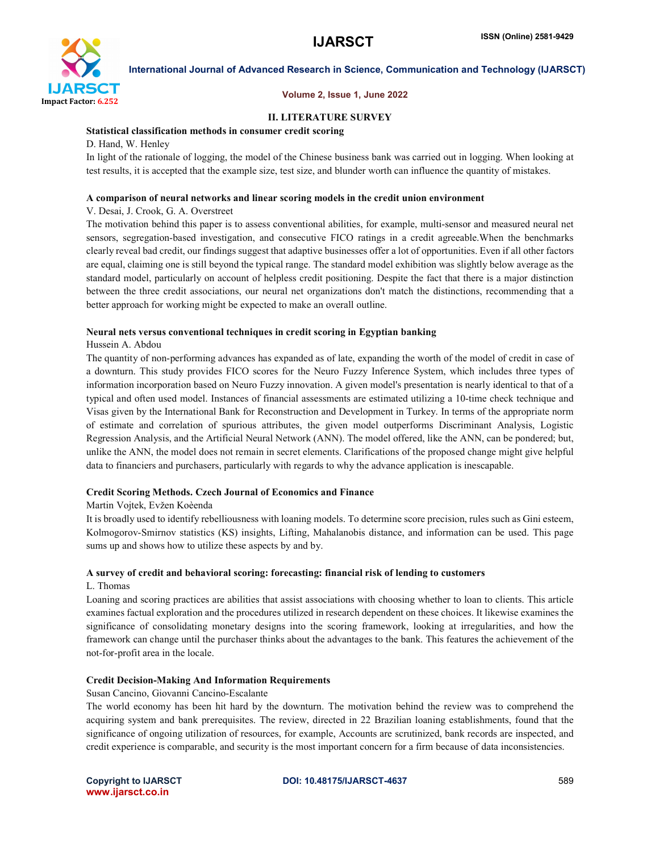

#### Volume 2, Issue 1, June 2022

#### II. LITERATURE SURVEY

#### Statistical classification methods in consumer credit scoring

D. Hand, W. Henley

In light of the rationale of logging, the model of the Chinese business bank was carried out in logging. When looking at test results, it is accepted that the example size, test size, and blunder worth can influence the quantity of mistakes.

#### A comparison of neural networks and linear scoring models in the credit union environment

#### V. Desai, J. Crook, G. A. Overstreet

The motivation behind this paper is to assess conventional abilities, for example, multi-sensor and measured neural net sensors, segregation-based investigation, and consecutive FICO ratings in a credit agreeable.When the benchmarks clearly reveal bad credit, our findings suggest that adaptive businesses offer a lot of opportunities. Even if all other factors are equal, claiming one is still beyond the typical range. The standard model exhibition was slightly below average as the standard model, particularly on account of helpless credit positioning. Despite the fact that there is a major distinction between the three credit associations, our neural net organizations don't match the distinctions, recommending that a better approach for working might be expected to make an overall outline.

#### Neural nets versus conventional techniques in credit scoring in Egyptian banking

#### Hussein A. Abdou

The quantity of non-performing advances has expanded as of late, expanding the worth of the model of credit in case of a downturn. This study provides FICO scores for the Neuro Fuzzy Inference System, which includes three types of information incorporation based on Neuro Fuzzy innovation. A given model's presentation is nearly identical to that of a typical and often used model. Instances of financial assessments are estimated utilizing a 10-time check technique and Visas given by the International Bank for Reconstruction and Development in Turkey. In terms of the appropriate norm of estimate and correlation of spurious attributes, the given model outperforms Discriminant Analysis, Logistic Regression Analysis, and the Artificial Neural Network (ANN). The model offered, like the ANN, can be pondered; but, unlike the ANN, the model does not remain in secret elements. Clarifications of the proposed change might give helpful data to financiers and purchasers, particularly with regards to why the advance application is inescapable.

#### Credit Scoring Methods. Czech Journal of Economics and Finance

#### Martin Vojtek, Evžen Koèenda

It is broadly used to identify rebelliousness with loaning models. To determine score precision, rules such as Gini esteem, Kolmogorov-Smirnov statistics (KS) insights, Lifting, Mahalanobis distance, and information can be used. This page sums up and shows how to utilize these aspects by and by.

## A survey of credit and behavioral scoring: forecasting: financial risk of lending to customers

## L. Thomas

Loaning and scoring practices are abilities that assist associations with choosing whether to loan to clients. This article examines factual exploration and the procedures utilized in research dependent on these choices. It likewise examines the significance of consolidating monetary designs into the scoring framework, looking at irregularities, and how the framework can change until the purchaser thinks about the advantages to the bank. This features the achievement of the not-for-profit area in the locale.

#### Credit Decision-Making And Information Requirements

Susan Cancino, Giovanni Cancino-Escalante

The world economy has been hit hard by the downturn. The motivation behind the review was to comprehend the acquiring system and bank prerequisites. The review, directed in 22 Brazilian loaning establishments, found that the significance of ongoing utilization of resources, for example, Accounts are scrutinized, bank records are inspected, and credit experience is comparable, and security is the most important concern for a firm because of data inconsistencies.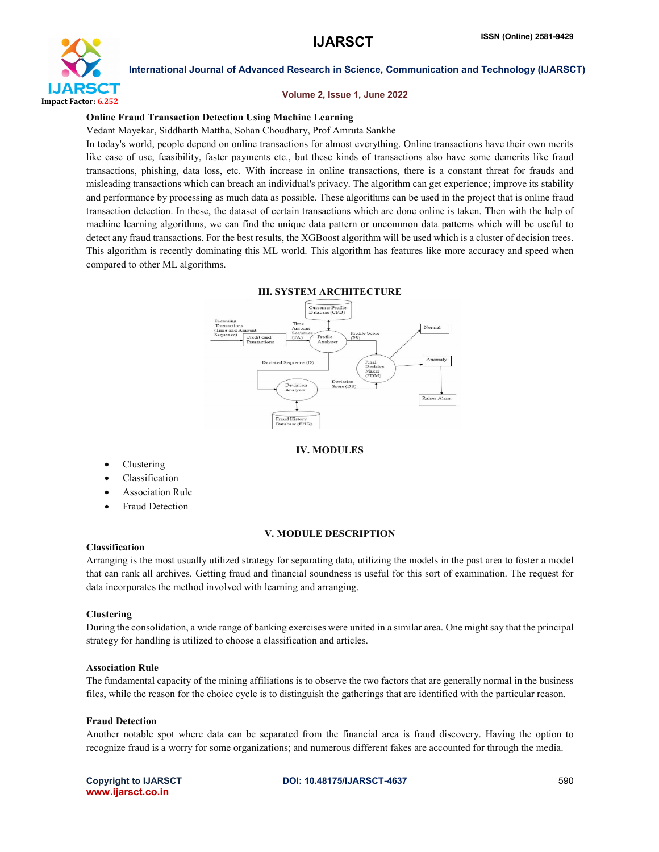

#### Volume 2, Issue 1, June 2022

#### Online Fraud Transaction Detection Using Machine Learning

Vedant Mayekar, Siddharth Mattha, Sohan Choudhary, Prof Amruta Sankhe

In today's world, people depend on online transactions for almost everything. Online transactions have their own merits like ease of use, feasibility, faster payments etc., but these kinds of transactions also have some demerits like fraud transactions, phishing, data loss, etc. With increase in online transactions, there is a constant threat for frauds and misleading transactions which can breach an individual's privacy. The algorithm can get experience; improve its stability and performance by processing as much data as possible. These algorithms can be used in the project that is online fraud transaction detection. In these, the dataset of certain transactions which are done online is taken. Then with the help of machine learning algorithms, we can find the unique data pattern or uncommon data patterns which will be useful to detect any fraud transactions. For the best results, the XGBoost algorithm will be used which is a cluster of decision trees. This algorithm is recently dominating this ML world. This algorithm has features like more accuracy and speed when compared to other ML algorithms.



#### III. SYSTEM ARCHITECTURE

#### IV. MODULES

- Clustering
- Classification
- Association Rule
- Fraud Detection

#### V. MODULE DESCRIPTION

#### Classification

Arranging is the most usually utilized strategy for separating data, utilizing the models in the past area to foster a model that can rank all archives. Getting fraud and financial soundness is useful for this sort of examination. The request for data incorporates the method involved with learning and arranging.

#### Clustering

During the consolidation, a wide range of banking exercises were united in a similar area. One might say that the principal strategy for handling is utilized to choose a classification and articles.

#### Association Rule

The fundamental capacity of the mining affiliations is to observe the two factors that are generally normal in the business files, while the reason for the choice cycle is to distinguish the gatherings that are identified with the particular reason.

#### Fraud Detection

Another notable spot where data can be separated from the financial area is fraud discovery. Having the option to recognize fraud is a worry for some organizations; and numerous different fakes are accounted for through the media.

www.ijarsct.co.in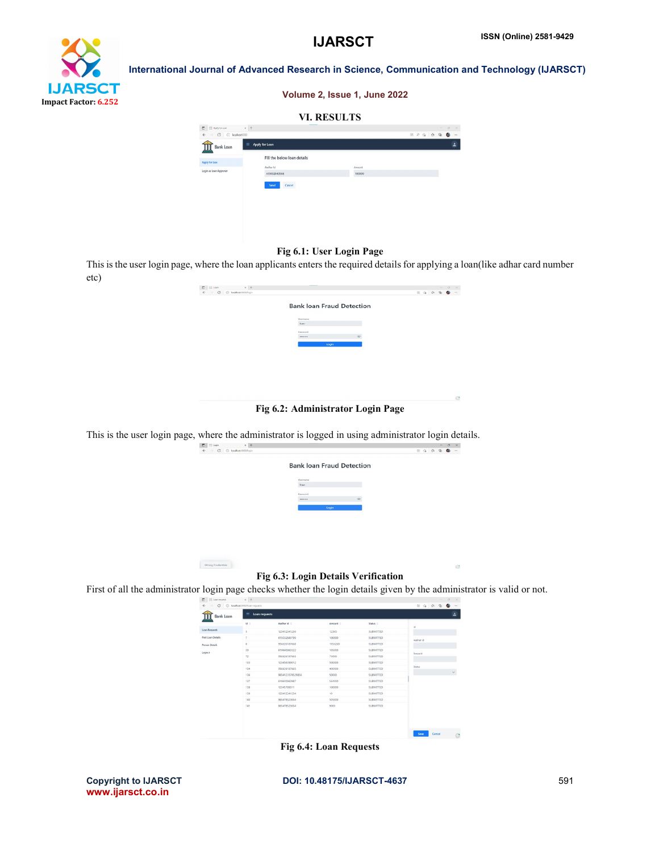# **IJARSCT** Impact Factor: 6.252

International Journal of Advanced Research in Science, Communication and Technology (IJARSCT)

| Volume 2, Issue 1, June 2022 |  |
|------------------------------|--|
| <b>VI. RESULTS</b>           |  |

| $\Box$<br>= Apply for Louis                            | $x +$                            |        |  |      | $\sim$       | $\circ$   | $\times$                 |
|--------------------------------------------------------|----------------------------------|--------|--|------|--------------|-----------|--------------------------|
| $\rightarrow$ C $\odot$ localhost 8080<br>$\leftarrow$ |                                  |        |  | 田产信白 | $\mathbb{G}$ | $\bullet$ | $\cdots$                 |
| <b>Bank Loan</b><br>Щ                                  | $\equiv$<br>Apply for Loan       |        |  |      |              |           | $\overline{\phantom{a}}$ |
| Apply for loan                                         | Fill the below loan details      |        |  |      |              |           |                          |
|                                                        | Aadhar Id                        | Amount |  |      |              |           |                          |
| Login as Loan Approver                                 | 615032843566                     | 100000 |  |      |              |           |                          |
|                                                        | <b>CONTROL</b><br>Cancel<br>Send |        |  |      |              |           |                          |
|                                                        |                                  |        |  |      |              |           |                          |
|                                                        |                                  |        |  |      |              |           |                          |

#### Fig 6.1: User Login Page

This is the user login page, where the loan applicants enters the required details for applying a loan(like adhar card number etc)

| $\leftarrow$<br>→ C © localhost.1080/login |                                  |          |  |  | $\begin{array}{ccccccccccccccccc} \boxplus & \boxtimes & \boxtimes & \boxtimes & \boxtimes & \boxtimes & \boxtimes & \boxtimes \end{array}$ |  |
|--------------------------------------------|----------------------------------|----------|--|--|---------------------------------------------------------------------------------------------------------------------------------------------|--|
|                                            | <b>Bank loan Fraud Detection</b> |          |  |  |                                                                                                                                             |  |
|                                            | Username                         |          |  |  |                                                                                                                                             |  |
|                                            | <b>Tours</b>                     |          |  |  |                                                                                                                                             |  |
|                                            | Password                         | $\infty$ |  |  |                                                                                                                                             |  |
|                                            | Login                            |          |  |  |                                                                                                                                             |  |
|                                            |                                  |          |  |  |                                                                                                                                             |  |
|                                            |                                  |          |  |  |                                                                                                                                             |  |
|                                            |                                  |          |  |  |                                                                                                                                             |  |
|                                            |                                  |          |  |  |                                                                                                                                             |  |
|                                            |                                  |          |  |  |                                                                                                                                             |  |
|                                            |                                  |          |  |  |                                                                                                                                             |  |
|                                            |                                  |          |  |  |                                                                                                                                             |  |

#### Fig 6.2: Administrator Login Page

This is the user login page, where the administrator is logged in using administrator login details.

Wrong Cradentials



## Fig 6.3: Login Details Verification

First of all the administrator login page checks whether the login details given by the administrator is valid or not.

| Bank Loan         | $\equiv$ Loan requests |                  |          |                  |                        |  |  |  |
|-------------------|------------------------|------------------|----------|------------------|------------------------|--|--|--|
|                   | M <sup>2</sup>         | Aschar Id 0      | Amount 0 | Status 0         | $\mathbf{d}$           |  |  |  |
| Loan Requests     | 5                      | 123412341236     | 12345    | SUBMITTED        |                        |  |  |  |
| Past Loan Details | $\tau$                 | 615032843799     | 100000   | SUBMITTED        | Aadhar id              |  |  |  |
| Person Details    | õ.                     | 956026187668     | 1953269  | SUBMITTED        |                        |  |  |  |
| Logost            | 39                     | 619640060322     | 105000   | SUBMITTED.       | Amount                 |  |  |  |
|                   | 72                     | 956626187665     | 75000    | <b>SUBMITTED</b> |                        |  |  |  |
|                   | 103                    | 123456789012     | 500000   | SUBMTTED         |                        |  |  |  |
|                   | 104                    | 956626187665     | 400000   | <b>SUBMITTED</b> | Status<br>$\checkmark$ |  |  |  |
|                   | 136                    | 9654123578529856 | 50000    | SUBMITTED        |                        |  |  |  |
|                   | 137                    | 619640060987     | \$64000  | SUBMITTED.       |                        |  |  |  |
|                   | 138                    | 12345789011      | 100000   | <b>SLBMTTED</b>  |                        |  |  |  |
|                   | 139                    | 123412341234     | 10       | <b>SUBMITTED</b> |                        |  |  |  |
|                   | 140                    | 965478523654     | \$05000  | <b>SUBMTTED</b>  |                        |  |  |  |
|                   | 141                    | 965478523654     | 9000     | <b>SUBMITTED</b> |                        |  |  |  |

Fig 6.4: Loan Requests

www.ijarsct.co.in

Copyright to IJARSCT **DOI: 10.48175/IJARSCT-4637** 591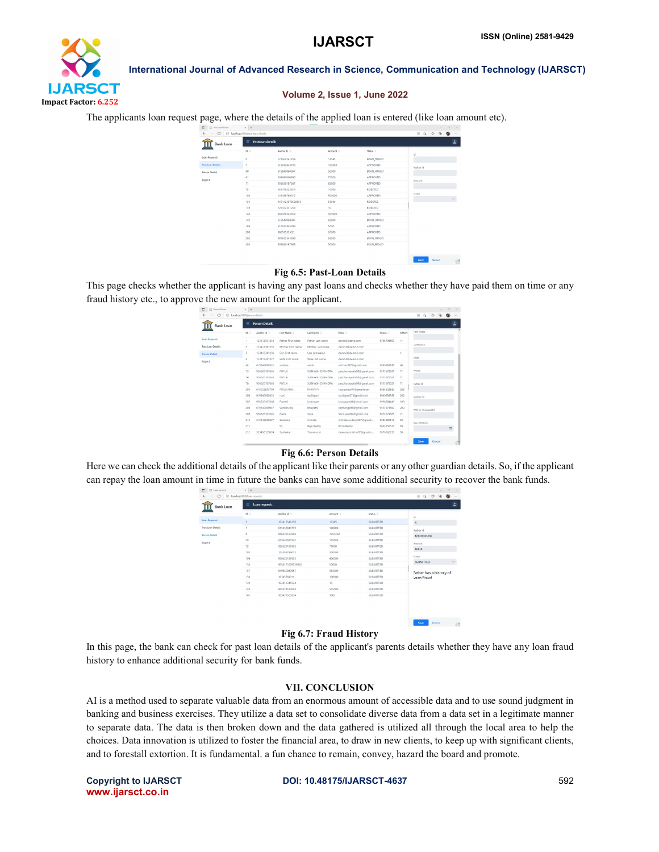

#### Volume 2, Issue 1, June 2022

The applicants loan request page, where the details of the applied loan is entered (like loan amount etc).

| Bank Loan                | $\equiv$   | <b>PastLoansDetails</b> |          |                 | $\overline{\phantom{a}}$ |
|--------------------------|------------|-------------------------|----------|-----------------|--------------------------|
|                          | $H =$      | Aadhar Id :             | Amount 0 | Status 0        | id.                      |
| Loan Requests            | $\ddot{6}$ | 123412341234            | 12345    | LOAN_FRAUD      |                          |
| <b>Part Loan Details</b> | ÷          | 615032843799            | 100000   | <b>APPROVED</b> | Aadhar id                |
| Person Details           | 40         | 619640060987            | 50000    | LOAN_FRAUD      |                          |
| Logost                   | 31         | 009040000903            | 75000    | APPROVED.       | Amount                   |
|                          | 71         | 956626187667            | 85000    | APPROVED        |                          |
|                          | 75         | 965478523054            | 10000    | REJECTED        |                          |
|                          | 103        | 123456789012            | 500000   | APPROVED.       | Stohas<br>$\checkmark$   |
|                          | 136        | 9654123578529856        | \$0000   | REJECTED        |                          |
|                          | 139        | 123412341234            | $10 -$   | REJECTED        |                          |
|                          | 140        | 965478523654            | 505000   | APPROVED.       |                          |
|                          | 142        | 619640060987            | 85000    | LOAN_FRAUD      |                          |
|                          | 168        | 615032843700            | 5000     | APPROVED        |                          |
|                          | 200        | 98653553532             | 65000    | APPROVED        |                          |
|                          | 202        | 987632545698            | 95000    | LOAN_FRAUD      |                          |
|                          | 203        | 956626187665            | 50000    | LOAN FRAUD      |                          |

#### Fig 6.5: Past-Loan Details

This page checks whether the applicant is having any past loans and checks whether they have paid them on time or any fraud history etc., to approve the new amount for the applicant.

| c<br>Person Details<br>面 | $\times$ +                    |                       |                   |                  |                           |            |         | $\sim$                            | $\circ$<br>$\sim$ |
|--------------------------|-------------------------------|-----------------------|-------------------|------------------|---------------------------|------------|---------|-----------------------------------|-------------------|
| $\sigma$<br>$\odot$      | localhost 8080/person details |                       |                   |                  |                           |            |         | G,<br>B5<br>$\overline{18}$<br>Ŷ. |                   |
| Bank Loan                | Ξ                             | <b>Person Details</b> |                   |                  |                           |            |         |                                   | ᆞ                 |
|                          | <b>Mid</b>                    | Andhar Id C           | First Name: 0     | Last Name :      | Email C                   | Phone 0    | Father: | First Name                        |                   |
| <b>Loan Requests</b>     |                               | 123412341234          | Father First name | Father Last name | deno@demo.com             | 9793798897 | 11      |                                   |                   |
| Past Loan Details        | ž.                            | 123412341235          | Mother First name | Mother Last name | deno1@demo1.com           |            |         | Last Name                         |                   |
| <b>Person Details</b>    | 3.                            | 123412341236          | Son First name    | Son Last name    | deno2@demo2.com           |            |         |                                   |                   |
| Legost                   | ×                             | 123412341237          | Wife First name   | Wife Last name   | demo3@demo3.com           |            |         | Email                             |                   |
|                          | 42                            | 619640060322          | srinkvas          | naida.           | srinivas967@gmail.com     | 9095989878 | 40      |                                   |                   |
|                          | 73                            | 956626187665          | PUTLA             | SJBHASH CHANDRA  | psubhashoutla99@gmail.com | 9513578521 | 71      | Phone                             |                   |
|                          | 74                            | 956626187665          | PUTLA             | SJBHASH CHANDRA  | psybhashputla99@gmail.com | 9513578521 | 71      |                                   |                   |
|                          | 76                            | 956626187665          | PUTLA             | SJBHASH CHANDRA  | psubhashoutla99@gmail.com | 9513578521 | 71      | Father Id                         |                   |
|                          | 204                           | 615032843799          | PRASANNA          | <b>RAXARATI</b>  | rayapatisa.07@gmail.com   | 8955523589 | 203     |                                   |                   |
|                          | 206                           | 919640060322          | nani              | mullepati        | mulepati07@gmail.com      | 9940656358 | 202     | Mother Id                         |                   |
|                          | 207                           | 956526187668          | Preathi           | lavargam         | layangam09@gmail.com      | \$99388446 | 103     |                                   |                   |
|                          | 208                           | 619640060987          | Vandan Raj        | Bhupathi         | vandarga95@gmail.com      | 9513574562 | 202     | Wife or Husband Id                |                   |
|                          | 209                           | 956626187665          | Prem              | Sana             | Sara.sak999@gmail.com     | 9874521365 | 71      |                                   |                   |
|                          | 210                           | 619640060987          | Sandeep           | chitrala         | chitralasandeep987@gmail  | 4983589512 | 98      | Date Of Rich                      |                   |
|                          | 211                           |                       | 83                | Bapi Reddy       | BhimiReddy                | 9863256535 | 58      |                                   | $\equiv$          |
|                          | 212                           | 593452129074          | Suchakar          | Thamengni        | thamesensidhu97@gmail.c   | 1075662250 | 90      |                                   |                   |
|                          |                               |                       |                   |                  |                           |            |         | <b>STATE OF STREET</b>            |                   |

#### Fig 6.6: Person Details

Here we can check the additional details of the applicant like their parents or any other guardian details. So, if the applicant can repay the loan amount in time in future the banks can have some additional security to recover the bank funds.

|                       | $M \triangleq$             | Andhar Id :      | Amount : | Status 0         |                           |
|-----------------------|----------------------------|------------------|----------|------------------|---------------------------|
| Loan Requests         |                            |                  |          |                  | u                         |
|                       | 5                          | 123412341236     | 12345    | SUBMITTED        | $\sqrt{2}$                |
| Post Loan Details     | ż                          | 615632843799     | 100000   | <b>SUBMITTED</b> | Aadhar id                 |
| <b>Person Details</b> | $\boldsymbol{\varepsilon}$ | 956626187668     | 1953269  | SUBMITTED        | 123412341236              |
| Logost                | 30                         | 619640060322     | 105000   | SUBMITTED        | Amount                    |
|                       | 72                         | 956626187665     | 75000    | <b>SUBMITTED</b> | 12345                     |
|                       | 103                        | 122456780012     | 500000   | <b>SLBMTTED</b>  | <b>Status</b>             |
|                       | 104                        | 956626187665     | 400000   | SUBMITTED        | SUBNITTED<br>$\checkmark$ |
|                       | 136                        | 9654123578529856 | soon     | <b>SUBMITTED</b> |                           |
|                       | 137                        | 619640060987     | 564000   | SUBMITTED        | Father has a history of   |
|                       | 138                        | 12345789011      | 100000   | SLBMTTED         | Loan Fraud                |
|                       | 139                        | 123412341234     | 10       | SUBMITTED        |                           |
|                       | 140                        | 965478523654     | 505000   | SUBMTTED         |                           |
|                       | 141                        | 505478325054     | 9000     | SUBMITTED        |                           |

#### Fig 6.7: Fraud History

In this page, the bank can check for past loan details of the applicant's parents details whether they have any loan fraud history to enhance additional security for bank funds.

#### VII. CONCLUSION

AI is a method used to separate valuable data from an enormous amount of accessible data and to use sound judgment in banking and business exercises. They utilize a data set to consolidate diverse data from a data set in a legitimate manner to separate data. The data is then broken down and the data gathered is utilized all through the local area to help the choices. Data innovation is utilized to foster the financial area, to draw in new clients, to keep up with significant clients, and to forestall extortion. It is fundamental. a fun chance to remain, convey, hazard the board and promote.

www.ijarsct.co.in

#### Copyright to IJARSCT **DOI: 10.48175/IJARSCT-4637** 592